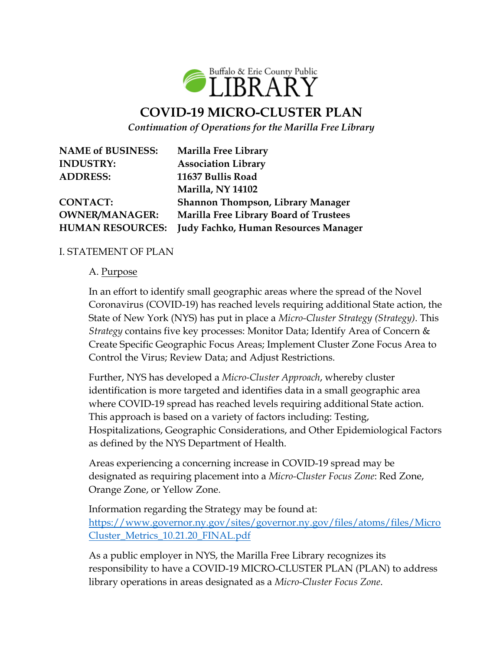

# **COVID-19 MICRO-CLUSTER PLAN**

*Continuation of Operations for the Marilla Free Library*

**NAME of BUSINESS: Marilla Free Library INDUSTRY: Association Library ADDRESS: 11637 Bullis Road**

**Marilla, NY 14102 CONTACT: Shannon Thompson, Library Manager OWNER/MANAGER: Marilla Free Library Board of Trustees HUMAN RESOURCES: Judy Fachko, Human Resources Manager**

## I. STATEMENT OF PLAN

#### A. Purpose

In an effort to identify small geographic areas where the spread of the Novel Coronavirus (COVID-19) has reached levels requiring additional State action, the State of New York (NYS) has put in place a *Micro-Cluster Strategy (Strategy)*. This *Strategy* contains five key processes: Monitor Data; Identify Area of Concern & Create Specific Geographic Focus Areas; Implement Cluster Zone Focus Area to Control the Virus; Review Data; and Adjust Restrictions.

Further, NYS has developed a *Micro-Cluster Approach*, whereby cluster identification is more targeted and identifies data in a small geographic area where COVID-19 spread has reached levels requiring additional State action. This approach is based on a variety of factors including: Testing, Hospitalizations, Geographic Considerations, and Other Epidemiological Factors as defined by the NYS Department of Health.

Areas experiencing a concerning increase in COVID-19 spread may be designated as requiring placement into a *Micro-Cluster Focus Zone*: Red Zone, Orange Zone, or Yellow Zone.

Information regarding the Strategy may be found at: [https://www.governor.ny.gov/sites/governor.ny.gov/files/atoms/files/Micro](file:///C:/Users/Thompson/Desktop/MicroCluster_Metrics_10.21.20_FINAL.pdf) [Cluster\\_Metrics\\_10.21.20\\_FINAL.pdf](file:///C:/Users/Thompson/Desktop/MicroCluster_Metrics_10.21.20_FINAL.pdf)

As a public employer in NYS, the Marilla Free Library recognizes its responsibility to have a COVID-19 MICRO-CLUSTER PLAN (PLAN) to address library operations in areas designated as a *Micro-Cluster Focus Zone*.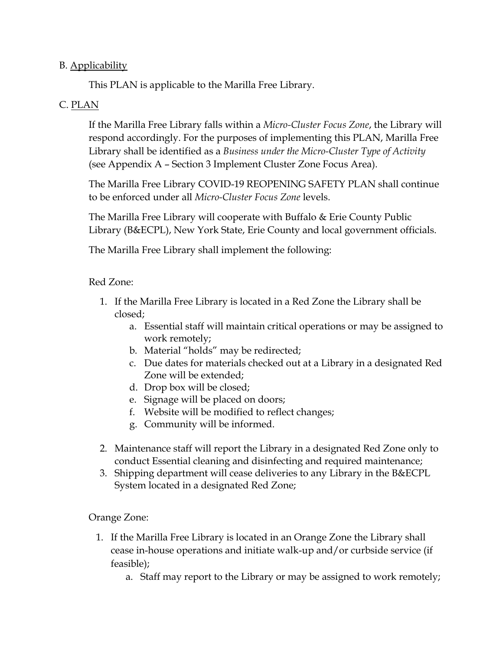## B. Applicability

This PLAN is applicable to the Marilla Free Library.

## C. PLAN

If the Marilla Free Library falls within a *Micro-Cluster Focus Zone*, the Library will respond accordingly. For the purposes of implementing this PLAN, Marilla Free Library shall be identified as a *Business under the Micro-Cluster Type of Activity* (see Appendix A – Section 3 Implement Cluster Zone Focus Area).

The Marilla Free Library COVID-19 REOPENING SAFETY PLAN shall continue to be enforced under all *Micro-Cluster Focus Zone* levels.

The Marilla Free Library will cooperate with Buffalo & Erie County Public Library (B&ECPL), New York State, Erie County and local government officials.

The Marilla Free Library shall implement the following:

#### Red Zone:

- 1. If the Marilla Free Library is located in a Red Zone the Library shall be closed;
	- a. Essential staff will maintain critical operations or may be assigned to work remotely;
	- b. Material "holds" may be redirected;
	- c. Due dates for materials checked out at a Library in a designated Red Zone will be extended;
	- d. Drop box will be closed;
	- e. Signage will be placed on doors;
	- f. Website will be modified to reflect changes;
	- g. Community will be informed.
- 2. Maintenance staff will report the Library in a designated Red Zone only to conduct Essential cleaning and disinfecting and required maintenance;
- 3. Shipping department will cease deliveries to any Library in the B&ECPL System located in a designated Red Zone;

#### Orange Zone:

- 1. If the Marilla Free Library is located in an Orange Zone the Library shall cease in-house operations and initiate walk-up and/or curbside service (if feasible);
	- a. Staff may report to the Library or may be assigned to work remotely;